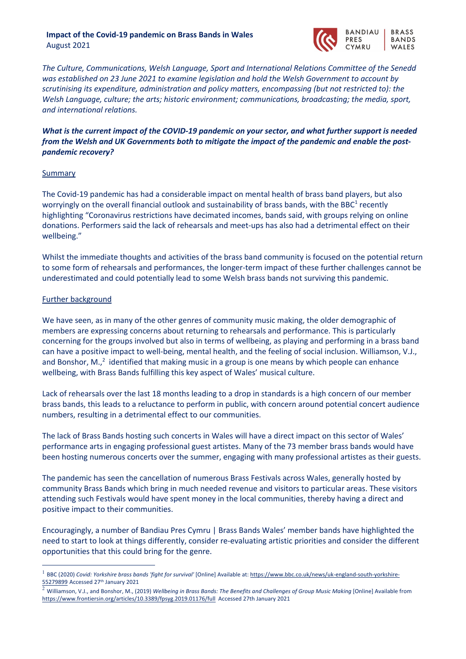### **Impact of the Covid-19 pandemic on Brass Bands in Wales** August 2021



*The Culture, Communications, Welsh Language, Sport and International Relations Committee of the Senedd was established on 23 June 2021 to examine legislation and hold the Welsh Government to account by scrutinising its expenditure, administration and policy matters, encompassing (but not restricted to): the Welsh Language, culture; the arts; historic environment; communications, broadcasting; the media, sport, and international relations.*

# *What is the current impact of the COVID-19 pandemic on your sector, and what further support is needed from the Welsh and UK Governments both to mitigate the impact of the pandemic and enable the postpandemic recovery?*

### **Summary**

The Covid-19 pandemic has had a considerable impact on mental health of brass band players, but also worryingly on the overall financial outlook and sustainability of brass bands, with the BBC<sup>1</sup> recently highlighting "Coronavirus restrictions have decimated incomes, bands said, with groups relying on online donations. Performers said the lack of rehearsals and meet-ups has also had a detrimental effect on their wellbeing."

Whilst the immediate thoughts and activities of the brass band community is focused on the potential return to some form of rehearsals and performances, the longer-term impact of these further challenges cannot be underestimated and could potentially lead to some Welsh brass bands not surviving this pandemic.

## Further background

We have seen, as in many of the other genres of community music making, the older demographic of members are expressing concerns about returning to rehearsals and performance. This is particularly concerning for the groups involved but also in terms of wellbeing, as playing and performing in a brass band can have a positive impact to well-being, mental health, and the feeling of social inclusion. Williamson, V.J., and Bonshor, M., $^2$  identified that making music in a group is one means by which people can enhance wellbeing, with Brass Bands fulfilling this key aspect of Wales' musical culture.

Lack of rehearsals over the last 18 months leading to a drop in standards is a high concern of our member brass bands, this leads to a reluctance to perform in public, with concern around potential concert audience numbers, resulting in a detrimental effect to our communities.

The lack of Brass Bands hosting such concerts in Wales will have a direct impact on this sector of Wales' performance arts in engaging professional guest artistes. Many of the 73 member brass bands would have been hosting numerous concerts over the summer, engaging with many professional artistes as their guests.

The pandemic has seen the cancellation of numerous Brass Festivals across Wales, generally hosted by community Brass Bands which bring in much needed revenue and visitors to particular areas. These visitors attending such Festivals would have spent money in the local communities, thereby having a direct and positive impact to their communities.

Encouragingly, a number of Bandiau Pres Cymru | Brass Bands Wales' member bands have highlighted the need to start to look at things differently, consider re-evaluating artistic priorities and consider the different opportunities that this could bring for the genre.

<sup>1</sup> BBC (2020) *Covid: Yorkshire brass bands 'fight for survival'* [Online] Available at: https://www.bbc.co.uk/news/uk-england-south-yorkshire-55279899 Accessed 27th January 2021

<sup>2</sup> Williamson, V.J., and Bonshor, M., (2019) *Wellbeing in Brass Bands: The Benefits and Challenges of Group Music Making* [Online] Available from https://www.frontiersin.org/articles/10.3389/fpsyg.2019.01176/full Accessed 27th January 2021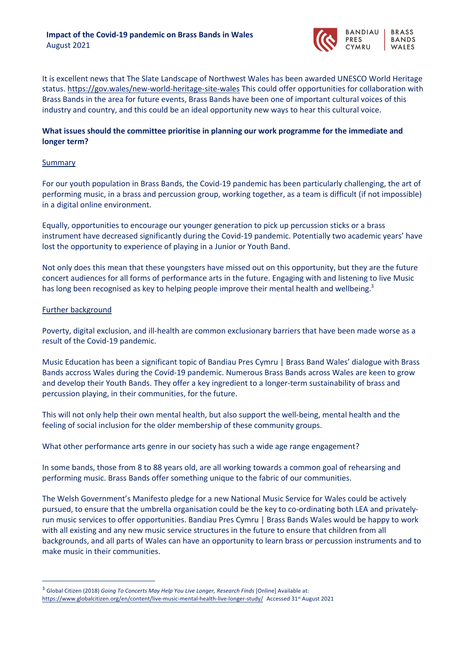

It is excellent news that The Slate Landscape of Northwest Wales has been awarded UNESCO World Heritage status. https://gov.wales/new-world-heritage-site-wales This could offer opportunities for collaboration with Brass Bands in the area for future events, Brass Bands have been one of important cultural voices of this industry and country, and this could be an ideal opportunity new ways to hear this cultural voice.

# **What issues should the committee prioritise in planning our work programme for the immediate and longer term?**

### **Summary**

For our youth population in Brass Bands, the Covid-19 pandemic has been particularly challenging, the art of performing music, in a brass and percussion group, working together, as a team is difficult (if not impossible) in a digital online environment.

Equally, opportunities to encourage our younger generation to pick up percussion sticks or a brass instrument have decreased significantly during the Covid-19 pandemic. Potentially two academic years' have lost the opportunity to experience of playing in a Junior or Youth Band.

Not only does this mean that these youngsters have missed out on this opportunity, but they are the future concert audiences for all forms of performance arts in the future. Engaging with and listening to live Music has long been recognised as key to helping people improve their mental health and wellbeing.<sup>3</sup>

### Further background

Poverty, digital exclusion, and ill-health are common exclusionary barriers that have been made worse as a result of the Covid-19 pandemic.

Music Education has been a significant topic of Bandiau Pres Cymru | Brass Band Wales' dialogue with Brass Bands accross Wales during the Covid-19 pandemic. Numerous Brass Bands across Wales are keen to grow and develop their Youth Bands. They offer a key ingredient to a longer-term sustainability of brass and percussion playing, in their communities, for the future.

This will not only help their own mental health, but also support the well-being, mental health and the feeling of social inclusion for the older membership of these community groups.

What other performance arts genre in our society has such a wide age range engagement?

In some bands, those from 8 to 88 years old, are all working towards a common goal of rehearsing and performing music. Brass Bands offer something unique to the fabric of our communities.

The Welsh Government's Manifesto pledge for a new National Music Service for Wales could be actively pursued, to ensure that the umbrella organisation could be the key to co-ordinating both LEA and privatelyrun music services to offer opportunities. Bandiau Pres Cymru | Brass Bands Wales would be happy to work with all existing and any new music service structures in the future to ensure that children from all backgrounds, and all parts of Wales can have an opportunity to learn brass or percussion instruments and to make music in their communities.

<sup>3</sup> Global Citizen (2018) *Going To Concerts May Help You Live Longer, Research Finds* [Online] Available at: https://www.globalcitizen.org/en/content/live-music-mental-health-live-longer-study/ Accessed 31st August 2021